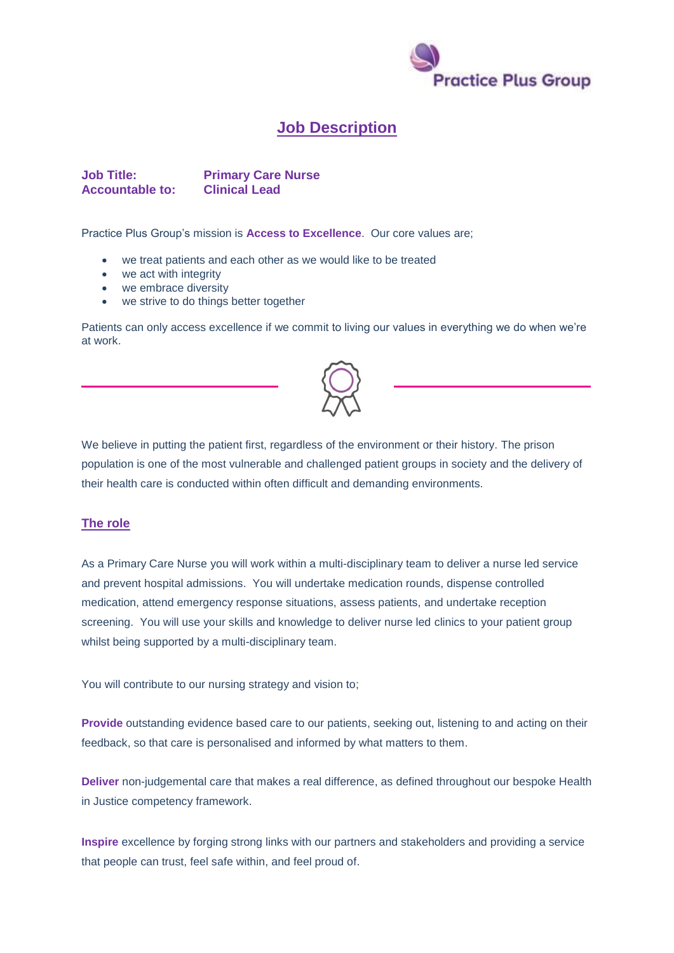

## **Job Description**

**Job Title: Primary Care Nurse Accountable to: Clinical Lead**

Practice Plus Group's mission is **Access to Excellence**. Our core values are;

- we treat patients and each other as we would like to be treated
- we act with integrity
- we embrace diversity
- we strive to do things better together

Patients can only access excellence if we commit to living our values in everything we do when we're at work.



We believe in putting the patient first, regardless of the environment or their history. The prison population is one of the most vulnerable and challenged patient groups in society and the delivery of their health care is conducted within often difficult and demanding environments.

## **The role**

As a Primary Care Nurse you will work within a multi-disciplinary team to deliver a nurse led service and prevent hospital admissions. You will undertake medication rounds, dispense controlled medication, attend emergency response situations, assess patients, and undertake reception screening. You will use your skills and knowledge to deliver nurse led clinics to your patient group whilst being supported by a multi-disciplinary team.

You will contribute to our nursing strategy and vision to;

**Provide** outstanding evidence based care to our patients, seeking out, listening to and acting on their feedback, so that care is personalised and informed by what matters to them.

**Deliver** non-judgemental care that makes a real difference, as defined throughout our bespoke Health in Justice competency framework.

**Inspire** excellence by forging strong links with our partners and stakeholders and providing a service that people can trust, feel safe within, and feel proud of.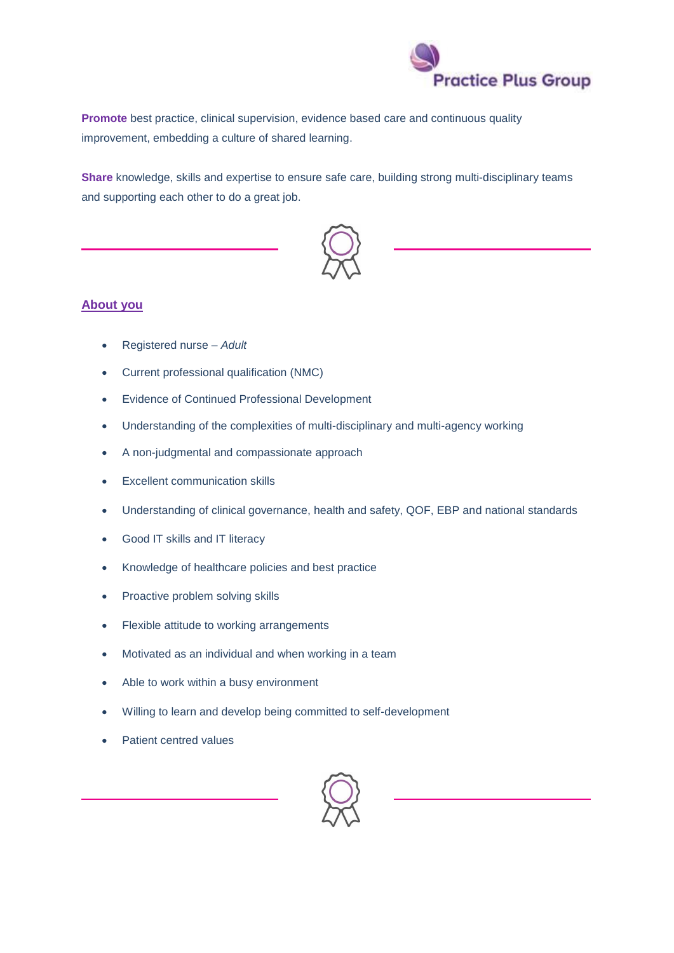

**Promote** best practice, clinical supervision, evidence based care and continuous quality improvement, embedding a culture of shared learning.

**Share** knowledge, skills and expertise to ensure safe care, building strong multi-disciplinary teams and supporting each other to do a great job.



## **About you**

- Registered nurse *Adult*
- Current professional qualification (NMC)
- Evidence of Continued Professional Development
- Understanding of the complexities of multi-disciplinary and multi-agency working
- A non-judgmental and compassionate approach
- Excellent communication skills
- Understanding of clinical governance, health and safety, QOF, EBP and national standards
- Good IT skills and IT literacy
- Knowledge of healthcare policies and best practice
- Proactive problem solving skills
- Flexible attitude to working arrangements
- Motivated as an individual and when working in a team
- Able to work within a busy environment
- Willing to learn and develop being committed to self-development
- Patient centred values